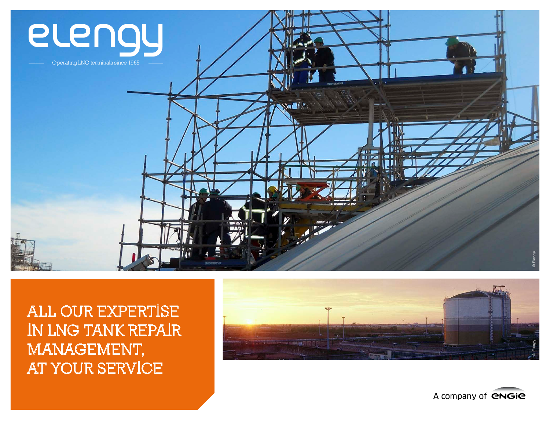

**ALL OUR EXPERTISE IN LNG TANK REPAIR MANAGEMENT, AT YOUR SERVICE** 



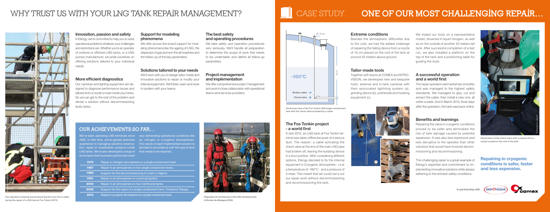### **Support for modeling phenomena**

We offer across-the-board support for modeling phenomena like the ageing of LNG, the dispersion of gas plume in the atmosphere and the follow-up of the key parameters.

### **Solutions tailored to your needs**

We'll work with you to design tailor-made and innovative solutions to repair or modify your internal equipment. We'll listen, learn and work in tandem with your teams.

### **The best safety and operating procedures**

We take safety and operation procedures very seriously. We'll handle all preparation to determine the scope of work that needs to be undertaken and define all follow-up parameters.

### **Project management and implementation**

We offer comprehensive project management and work in close collaboration with operational teams and services providers.

### **Innovation, passion and safety**

In Elengy, we're committed to help you to solve operational problems whatever your challenges and restrictions are. Whether you're an operator of onshore or offshore LNG tanks, or a LNG pumps manufacturer, we pride ourselves on offering solutions tailored to your individual needs.

### **More efficient diagnostics**

Our cameras and lighting equipment are designed to diagnose performance issues and failures from a nozzle or even inside your tanks. So we can get to the root of the problem and devise a solution without decommissioning faulty tanks.

Together with teams at COMEX and INTRO-VISION, we developed new and bespoke tools: external and in-tank cameras with their associated lightning system (a), grinding device (b), prehensile and hooking equipment (c).

We trialed our tools on a representative model, drowned in liquid nitrogen, as well as on the outside of another 40 meters tall tank. After successful completion of a test run, we also installed a platform on the top of the tank and a positioning table for guiding the tools.

### Repairing in cryogenic conditions is safer, faster and less expensive.

### **The Fos Tonkin project - a world first**

In late 2012, an LNG tank at Fos Tonkin terminal was taken offline because of a serious fault. The reason: a cable activating the check valve at the end of the main LNG pipe had broken off, leaving the isolating device in a shut position. After considering different options, Elengy decided to fix the internal equipment in Cryogenic atmosphere - i.e at a temperature of -160°C - and a pressure of 3 mbar. This meant that we could carry out our repair work without decommissioning and recommissioning the tank.



Observation of the check valve with a camera from a nozzle located on the roof of the tank

### **Extreme conditions**

Besides the atmospheric difficulties due to the cold, we had the added challenge of repairing the failing device from a nozzle of 15 cm placed on the roof of the tank at around 40 meters above ground.

### **Tailor-made tools**

### **A successful operation and a world first**

The repair operation went extremely smoothly and was managed to the highest safety standards. We managed to grip, cut and extract the cable, then install a new one, all within a week. And in March 2013, three days after the operation, the tank was back online.

### **Benefits and learnings**

Repairing the valve in cryogenic conditions proved to be safer and eliminated the risk of tank damage caused by potential expansion. It was also less expensive and less disruptive to the operator than other solutions that would have involved decommissioning and recommissioning.

This challenging repair is a great example of Elengy's expertise and commitment to implementing innovative solutions while always adhering to the strictest safety conditions.

# OUR ACHIEVEMENTS SO FAR…

We've been operating LNG terminals since very demanding operational conditions like 1965. In that time, we've gained extensive air, nitrogen or cryogenic atmospheres. experience in managing sensitive observa- The nature of each implemented solution is tion, repair or modification projects inside decided in accordance with the type of tank LNG tanks. We've also developed a range of that needs to be repaired. echniques that have been performed under

- 1975 Repair in nitrogen atmosphere on a single containment tank.
- 1987 Repair in air atmosphere on two single containment tanks.
- 1990 Support for the decommissioning of a tank in Algeria.
- 1991 Repair in air atmosphere on a tank (propylen)
- 2004 Repair in air atmosphere on two membrane tanks.
- 2009 Support for the repair of a single containment tank, Trinidad & Tobago.
- **2013** Repair in cryogenic atmosphere on a single containment tank.

40 m



Sectionnal view of the Fos Tonkin LNG single containment tank with the check valve activated by a cable





Preparation for the first entry in the LNG membrane tank of Montoir-de-Bretagne (2004)



# Two operators lowering and positionning the tools from a table

# WHY TRUST US WITH YOUR LNG TANK REPAIR MANAGEMENT?  $\|\cdot\|$  case study  $\|\cdot\|$  case  $\|\cdot\|$  o**ne of our most challenging repair**…